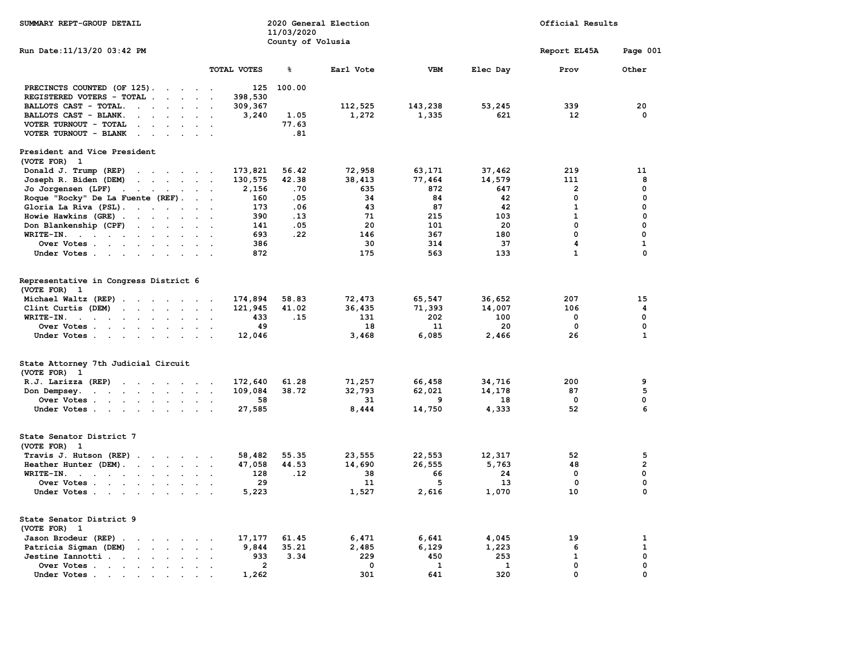| SUMMARY REPT-GROUP DETAIL                                                                                                                               |                                          | 11/03/2020        | 2020 General Election |            |          | Official Results |                         |
|---------------------------------------------------------------------------------------------------------------------------------------------------------|------------------------------------------|-------------------|-----------------------|------------|----------|------------------|-------------------------|
| Run Date:11/13/20 03:42 PM                                                                                                                              |                                          | County of Volusia |                       |            |          | Report EL45A     | Page 001                |
|                                                                                                                                                         | TOTAL VOTES                              | ៖                 | Earl Vote             | <b>VBM</b> | Elec Day | Prov             | Other                   |
| PRECINCTS COUNTED (OF 125).                                                                                                                             | 125                                      | 100.00            |                       |            |          |                  |                         |
| REGISTERED VOTERS - TOTAL<br>$\sim$<br>$\sim$<br>$\sim$                                                                                                 | 398,530<br>$\sim$                        |                   |                       |            |          |                  |                         |
| BALLOTS CAST - TOTAL.<br>$\sim$<br>$\ddot{\phantom{a}}$<br>$\cdot$                                                                                      | 309,367                                  |                   | 112,525               | 143,238    | 53,245   | 339              | 20                      |
| BALLOTS CAST - BLANK.<br>$\sim$ $\sim$<br>$\sim$                                                                                                        | 3,240                                    | 1.05              | 1,272                 | 1,335      | 621      | 12               | 0                       |
| VOTER TURNOUT - TOTAL<br>$\ddot{\phantom{a}}$<br>$\cdot$                                                                                                |                                          | 77.63             |                       |            |          |                  |                         |
| VOTER TURNOUT - BLANK<br>$\sim$<br>$\ddot{\phantom{a}}$<br>$\sim$                                                                                       | $\sim$                                   | .81               |                       |            |          |                  |                         |
| President and Vice President<br>(VOTE FOR)<br>$\mathbf{1}$                                                                                              |                                          |                   |                       |            |          |                  |                         |
| Donald J. Trump (REP)<br>the contract of the contract of the                                                                                            | 173,821                                  | 56.42             | 72,958                | 63,171     | 37,462   | 219              | 11                      |
| Joseph R. Biden (DEM)<br>the contract of the contract of the contract of the contract of the contract of the contract of the contract of                | 130,575                                  | 42.38             | 38,413                | 77,464     | 14,579   | 111              | 8                       |
| Jo Jorgensen (LPF)<br>$\sim$ $\sim$<br>$\sim$<br>$\sim$<br>$\ddot{\phantom{0}}$                                                                         | 2,156                                    | .70               | 635                   | 872        | 647      | $\overline{2}$   | 0                       |
| Roque "Rocky" De La Fuente (REF).                                                                                                                       | 160<br>$\ddot{\phantom{1}}$              | .05               | 34                    | 84         | 42       | 0                | $\mathbf 0$             |
| Gloria La Riva (PSL)                                                                                                                                    | 173                                      | .06               | 43                    | 87         | 42       | $\mathbf{1}$     | 0                       |
| Howie Hawkins (GRE)                                                                                                                                     | 390<br>$\sim$                            | .13               | 71                    | 215        | 103      | $\mathbf{1}$     | $\Omega$                |
| Don Blankenship (CPF)<br>$\mathcal{A}=\mathcal{A}=\mathcal{A}=\mathcal{A}=\mathcal{A}$ .                                                                | 141<br>$\sim$ $\sim$                     | .05               | 20                    | 101        | 20       | 0                | 0                       |
| $WRITE-IN.$<br>$\ddot{\phantom{a}}$<br>$\sim$                                                                                                           | 693                                      | .22               | 146                   | 367        | 180      | 0                | 0                       |
| Over Votes                                                                                                                                              | 386<br><b>Contract Contract Contract</b> |                   | 30                    | 314        | 37       | 4                | $\mathbf{1}$            |
| Under Votes                                                                                                                                             | 872<br>$\sim$                            |                   | 175                   | 563        | 133      | $\mathbf{1}$     | $\Omega$                |
| Representative in Congress District 6<br>(VOTE FOR) 1                                                                                                   |                                          |                   |                       |            |          |                  |                         |
| Michael Waltz (REP)                                                                                                                                     | 174,894                                  | 58.83             | 72,473                | 65,547     | 36,652   | 207              | 15                      |
| Clint Curtis (DEM)<br>$\cdot$ $\cdot$<br>$\sim$ $\sim$                                                                                                  | 121,945                                  | 41.02             | 36,435                | 71,393     | 14,007   | 106              | 4                       |
| WRITE-IN.<br>the contract of the contract of the<br>$\ddot{\phantom{0}}$<br>$\ddot{\phantom{a}}$                                                        | 433                                      | .15               | 131                   | 202        | 100      | $\Omega$         | $\mathbf 0$             |
| Over Votes                                                                                                                                              | 49<br>$\sim$                             |                   | 18                    | 11         | 20       | 0                | 0                       |
| Under Votes.<br>the contract of the contract of                                                                                                         | 12,046<br>$\sim$ $\sim$                  |                   | 3,468                 | 6,085      | 2,466    | 26               | $\mathbf{1}$            |
| State Attorney 7th Judicial Circuit<br>(VOTE FOR) 1                                                                                                     |                                          |                   |                       |            |          |                  |                         |
| R.J. Larizza (REP)<br>the contract of the contract of the                                                                                               | 172,640                                  | 61.28             | 71,257                | 66,458     | 34,716   | 200              | 9                       |
| Don Dempsey.<br>and the state of the state of the<br>$\ddot{\phantom{0}}$<br>$\sim$ $\sim$                                                              | 109,084                                  | 38.72             | 32,793                | 62,021     | 14,178   | 87               | 5                       |
| Over Votes<br>$\ddot{\phantom{a}}$                                                                                                                      | 58                                       |                   | 31                    | 9          | 18       | $\mathbf 0$      | 0                       |
| Under Votes                                                                                                                                             | 27,585                                   |                   | 8,444                 | 14,750     | 4,333    | 52               | 6                       |
| State Senator District 7                                                                                                                                |                                          |                   |                       |            |          |                  |                         |
| (VOTE FOR)<br>- 1                                                                                                                                       |                                          |                   |                       |            |          |                  |                         |
| Travis J. Hutson (REP).<br>$\sim$ $\sim$ $\sim$<br>$\sim$                                                                                               | 58,482                                   | 55.35             | 23,555                | 22,553     | 12,317   | 52               | 5                       |
| Heather Hunter (DEM).                                                                                                                                   | 47,058<br>$\sim$                         | 44.53             | 14,690                | 26,555     | 5,763    | 48               | $\overline{\mathbf{2}}$ |
| WRITE-IN.<br>the contract of the contract of the<br>$\sim$ $\sim$                                                                                       | 128                                      | .12               | 38                    | 66         | 24       | 0                | 0                       |
| Over Votes .<br>the contract of the contract of the contract of the contract of the contract of the contract of the contract of<br>$\ddot{\phantom{a}}$ | 29                                       |                   | 11                    | 5          | 13       | 0                | 0                       |
| Under Votes                                                                                                                                             | 5,223<br>$\sim$ $\sim$                   |                   | 1,527                 | 2,616      | 1,070    | 10               | 0                       |
| State Senator District 9<br>(VOTE FOR) 1                                                                                                                |                                          |                   |                       |            |          |                  |                         |
| Jason Brodeur (REP).<br>$\sim$<br>$\sim$ $\sim$ $\sim$                                                                                                  | 17,177                                   | 61.45             | 6,471                 | 6,641      | 4,045    | 19               | 1                       |
| Patricia Sigman (DEM)<br>and a strategic and                                                                                                            | 9,844<br>$\sim$                          | 35.21             | 2,485                 | 6,129      | 1,223    | 6                | $\mathbf{1}$            |
| Jestine Iannotti .<br>$\sim$ $\sim$ $\sim$ $\sim$<br>$\sim$                                                                                             | 933                                      | 3.34              | 229                   | 450        | 253      | $\mathbf{1}$     | $\mathbf 0$             |
| Over Votes .<br>and the state of the state of the<br>$\blacksquare$ .<br>$\ddot{\phantom{a}}$<br>$\cdot$                                                | $\overline{2}$                           |                   | 0                     | 1          | 1        | $\mathbf 0$      | $\mathbf 0$             |
| Under Votes.<br>$\sim 10^{-10}$ $\sim$<br>$\ddot{\phantom{1}}$                                                                                          | 1,262                                    |                   | 301                   | 641        | 320      | 0                | 0                       |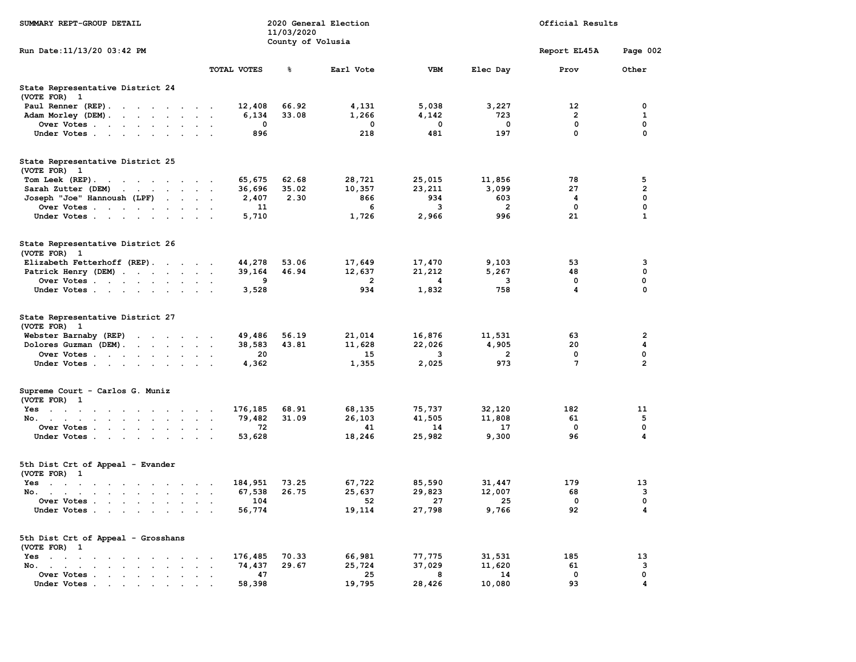| SUMMARY REPT-GROUP DETAIL                                                                                              |                                | 11/03/2020        | 2020 General Election |             | Official Results |              |                |
|------------------------------------------------------------------------------------------------------------------------|--------------------------------|-------------------|-----------------------|-------------|------------------|--------------|----------------|
| Run Date:11/13/20 03:42 PM                                                                                             |                                | County of Volusia |                       |             |                  | Report EL45A | Page 002       |
|                                                                                                                        | TOTAL VOTES                    | ៖                 | Earl Vote             | <b>VBM</b>  | Elec Day         | Prov         | Other          |
| State Representative District 24<br>(VOTE FOR) 1                                                                       |                                |                   |                       |             |                  |              |                |
| Paul Renner (REP).                                                                                                     | 12,408                         | 66.92             | 4,131                 | 5,038       | 3,227            | 12           | 0              |
| Adam Morley (DEM).                                                                                                     | 6,134                          | 33.08             | 1,266                 | 4,142       | 723              | 2            | 1              |
| Over Votes                                                                                                             | 0                              |                   | 0                     | $\mathbf 0$ | $\mathbf 0$      | $\mathbf 0$  | 0              |
| Under Votes                                                                                                            | 896                            |                   | 218                   | 481         | 197              | 0            | 0              |
| State Representative District 25<br>(VOTE FOR) 1                                                                       |                                |                   |                       |             |                  |              |                |
| Tom Leek $(REF)$ .                                                                                                     | 65,675                         | 62.68             | 28,721                | 25,015      | 11,856           | 78           | 5              |
| Sarah Zutter (DEM)<br>the contract of the contract of the                                                              | 36,696                         | 35.02             | 10,357                | 23,211      | 3,099            | 27           | 2              |
| Joseph "Joe" Hannoush (LPF)                                                                                            | 2,407                          | 2.30              | 866                   | 934         | 603              | 4            | $\mathbf 0$    |
| Over Votes                                                                                                             | 11                             |                   | 6                     | 3           | 2                | 0            | 0              |
| Under Votes                                                                                                            | 5,710                          |                   | 1,726                 | 2,966       | 996              | 21           | 1              |
| State Representative District 26<br>(VOTE FOR) 1                                                                       |                                |                   |                       |             |                  |              |                |
| Elizabeth Fetterhoff (REP).                                                                                            | 44,278                         | 53.06             | 17,649                | 17,470      | 9,103            | 53           | з              |
| Patrick Henry (DEM)                                                                                                    | 39,164                         | 46.94             | 12,637                | 21,212      | 5,267            | 48           | 0              |
| Over Votes                                                                                                             | 9                              |                   | $\overline{2}$        | 4           | 3                | 0            | 0              |
| Under Votes                                                                                                            | 3,528                          |                   | 934                   | 1,832       | 758              | 4            | 0              |
| State Representative District 27<br>(VOTE FOR) 1                                                                       |                                |                   |                       |             |                  |              |                |
| Webster Barnaby (REP)                                                                                                  | 49,486                         | 56.19             | 21,014                | 16,876      | 11,531           | 63           | 2              |
| Dolores Guzman (DEM).<br>the contract of the contract of the                                                           | 38,583                         | 43.81             | 11,628                | 22,026      | 4,905            | 20           | 4              |
| Over Votes                                                                                                             | 20                             |                   | 15                    | 3           | 2                | 0            | 0              |
| Under Votes                                                                                                            | 4,362                          |                   | 1,355                 | 2,025       | 973              | 7            | $\overline{2}$ |
| Supreme Court - Carlos G. Muniz<br>(VOTE FOR) 1                                                                        |                                |                   |                       |             |                  |              |                |
| Yes                                                                                                                    | 176,185                        | 68.91             | 68,135                | 75,737      | 32,120           | 182          | 11             |
| No.                                                                                                                    | 79,482                         | 31.09             | 26,103                | 41,505      | 11,808           | 61           | 5              |
| Over Votes                                                                                                             | 72<br>$\overline{\phantom{a}}$ |                   | 41                    | 14          | 17               | 0            | 0              |
| Under Votes                                                                                                            | 53,628                         |                   | 18,246                | 25,982      | 9,300            | 96           | 4              |
| 5th Dist Crt of Appeal - Evander<br>(VOTE FOR) 1                                                                       |                                |                   |                       |             |                  |              |                |
| Yes<br>the contract of the contract of the contract of the contract of the contract of the contract of the contract of | 184,951                        | 73.25             | 67,722                | 85,590      | 31,447           | 179          | 13             |
| No.                                                                                                                    | 67,538                         | 26.75             | 25,637                | 29,823      | 12,007           | 68           | 3              |
| Over Votes                                                                                                             | 104                            |                   | 52                    | 27          | 25               | $^{\circ}$   | 0              |
| Under Votes                                                                                                            | 56,774                         |                   | 19,114                | 27,798      | 9,766            | 92           | 4              |
| 5th Dist Crt of Appeal - Grosshans<br>(VOTE FOR) 1                                                                     |                                |                   |                       |             |                  |              |                |
| Yes                                                                                                                    | 176,485                        | 70.33             | 66,981                | 77,775      | 31,531           | 185          | 13             |
| No.                                                                                                                    | 74,437                         | 29.67             | 25,724                | 37,029      | 11,620           | 61           | з              |
| Over Votes                                                                                                             | 47                             |                   | 25                    | 8           | 14               | 0            | 0              |
| Under Votes .<br>the contract of the contract of the contract of the contract of the contract of                       | 58,398                         |                   | 19,795                | 28,426      | 10,080           | 93           | 4              |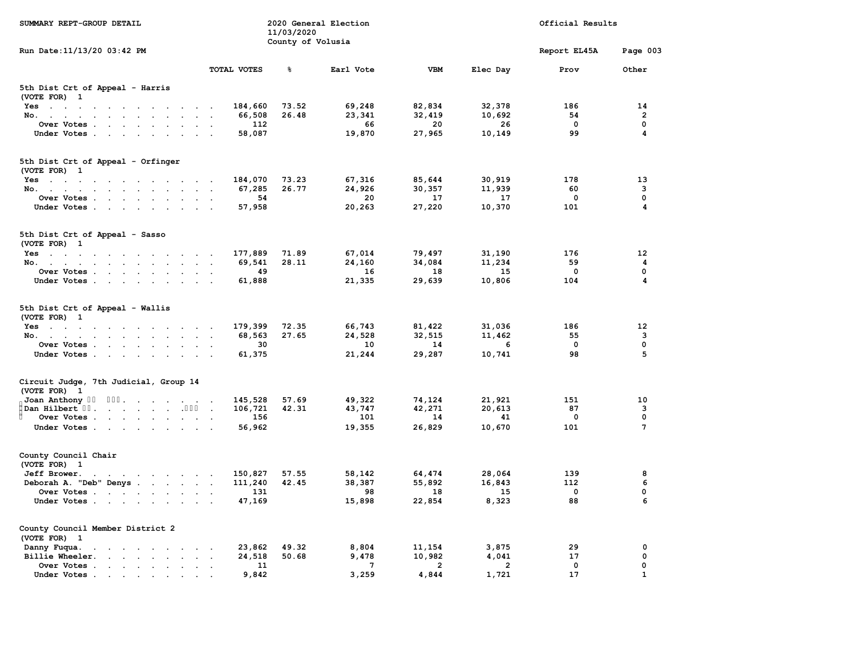| SUMMARY REPT-GROUP DETAIL                                                                                                                                                                                                                        |                                                        | 11/03/2020        | 2020 General Election |                | Official Results |              |                  |  |
|--------------------------------------------------------------------------------------------------------------------------------------------------------------------------------------------------------------------------------------------------|--------------------------------------------------------|-------------------|-----------------------|----------------|------------------|--------------|------------------|--|
| Run Date: 11/13/20 03:42 PM                                                                                                                                                                                                                      |                                                        | County of Volusia |                       |                |                  | Report EL45A | Page 003         |  |
|                                                                                                                                                                                                                                                  | <b>TOTAL VOTES</b>                                     | ៖                 | Earl Vote             | <b>VBM</b>     | Elec Day         | Prov         | Other            |  |
| 5th Dist Crt of Appeal - Harris<br>(VOTE FOR) 1                                                                                                                                                                                                  |                                                        |                   |                       |                |                  |              |                  |  |
| $Yes \t . \t .$<br>$\sim$ $\sim$<br>the company of the company of the company of                                                                                                                                                                 | 184,660                                                | 73.52             | 69,248                | 82,834         | 32,378           | 186          | 14               |  |
| No.                                                                                                                                                                                                                                              | 66,508                                                 | 26.48             | 23,341                | 32,419         | 10,692           | 54           | $\overline{2}$   |  |
| Over Votes .<br>$\cdot$ $\cdot$<br>$\sim$ $\sim$<br>$\sim$ $\sim$<br>$\cdot$                                                                                                                                                                     | 112<br>$\overline{\phantom{a}}$                        |                   | 66                    | 20             | 26               | 0            | 0                |  |
| Under Votes                                                                                                                                                                                                                                      | 58,087                                                 |                   | 19,870                | 27,965         | 10,149           | 99           | 4                |  |
| 5th Dist Crt of Appeal - Orfinger                                                                                                                                                                                                                |                                                        |                   |                       |                |                  |              |                  |  |
| (VOTE FOR) 1                                                                                                                                                                                                                                     |                                                        |                   |                       |                |                  |              |                  |  |
| $Yes \t . \t .$<br>the contract of the contract of the contract of the contract of the contract of the contract of the contract of                                                                                                               | 184,070                                                | 73.23             | 67,316                | 85,644         | 30,919           | 178          | 13               |  |
| No.<br>the contract of the contract of the<br>$\mathbf{r}$ , $\mathbf{r}$ , $\mathbf{r}$ , $\mathbf{r}$ , $\mathbf{r}$<br>Over Votes .                                                                                                           | 67,285<br>$\overline{\phantom{a}}$<br>54               | 26.77             | 24,926<br>20          | 30,357<br>17   | 11,939<br>17     | 60<br>0      | 3<br>$\mathbf 0$ |  |
| <u>na sa sa sa sa sa sa sa</u><br>Under Votes.                                                                                                                                                                                                   | 57,958                                                 |                   | 20,263                | 27,220         | 10,370           | 101          | 4                |  |
| $\sim$ $\sim$<br>$\sim$<br>$\sim$<br>$\sim$ $\sim$<br>$\sim$                                                                                                                                                                                     | $\sim$                                                 |                   |                       |                |                  |              |                  |  |
| 5th Dist Crt of Appeal - Sasso<br>(VOTE FOR) 1                                                                                                                                                                                                   |                                                        |                   |                       |                |                  |              |                  |  |
| Yes                                                                                                                                                                                                                                              | 177,889                                                | 71.89             | 67,014                | 79,497         | 31,190           | 176          | 12               |  |
| No.                                                                                                                                                                                                                                              | 69,541<br>$\sim$                                       | 28.11             | 24,160                | 34,084         | 11,234           | 59           | 4                |  |
| Over Votes .<br><b>Contract Contract</b><br>$\sim$<br>$\sim$ $\sim$                                                                                                                                                                              | 49                                                     |                   | 16                    | 18             | 15               | $\mathbf 0$  | $\mathbf 0$      |  |
| Under Votes                                                                                                                                                                                                                                      | 61,888                                                 |                   | 21,335                | 29,639         | 10,806           | 104          | 4                |  |
| 5th Dist Crt of Appeal - Wallis<br>(VOTE FOR) 1                                                                                                                                                                                                  |                                                        |                   |                       |                |                  |              |                  |  |
| Yes                                                                                                                                                                                                                                              | 179,399<br>$\cdot$ .                                   | 72.35             | 66,743                | 81,422         | 31,036           | 186          | 12               |  |
| No.<br>$\sim$<br>$\sim$<br>$\sim$                                                                                                                                                                                                                | 68,563<br>$\ddot{\phantom{0}}$<br>$\ddot{\phantom{1}}$ | 27.65             | 24,528                | 32,515         | 11,462           | 55           | $\overline{3}$   |  |
| Over Votes                                                                                                                                                                                                                                       | 30                                                     |                   | 10                    | 14             | 6                | $\Omega$     | $\mathbf 0$      |  |
| Under Votes.<br><b>Service Control</b><br>$\sim$<br>$\sim$<br>$\sim$<br>$\sim$                                                                                                                                                                   | 61,375                                                 |                   | 21,244                | 29,287         | 10,741           | 98           | 5                |  |
| Circuit Judge, 7th Judicial, Group 14<br>(VOTE FOR) 1                                                                                                                                                                                            |                                                        |                   |                       |                |                  |              |                  |  |
| Joan Anthony "0"<br>$0$ "".                                                                                                                                                                                                                      | 145,528                                                | 57.69             | 49,322                | 74,124         | 21,921           | 151          | 10               |  |
| "Dan Hilbert "".                                                                                                                                                                                                                                 | 106,721                                                | 42.31             | 43,747                | 42,271         | 20,613           | 87           | з                |  |
| Over Votes .<br>$\sim$ $\sim$<br>$\sim$ $-$<br>$\sim 10^{-11}$<br><b>Contract Contract</b>                                                                                                                                                       | 156<br>$\ddot{\phantom{1}}$                            |                   | 101                   | 14             | 41               | 0            | 0                |  |
| Under Votes                                                                                                                                                                                                                                      | 56,962                                                 |                   | 19,355                | 26,829         | 10,670           | 101          | $\overline{7}$   |  |
| County Council Chair                                                                                                                                                                                                                             |                                                        |                   |                       |                |                  |              |                  |  |
| (VOTE FOR) 1                                                                                                                                                                                                                                     |                                                        |                   |                       |                |                  |              |                  |  |
| Jeff Brower.                                                                                                                                                                                                                                     | 150,827                                                | 57.55             | 58,142                | 64,474         | 28,064           | 139          | 8                |  |
| Deborah A. "Deb" Denys                                                                                                                                                                                                                           | 111,240                                                | 42.45             | 38,387                | 55,892         | 16,843           | 112          | 6                |  |
| Over Votes                                                                                                                                                                                                                                       | 131                                                    |                   | 98                    | 18             | 15               | 0            | 0                |  |
| Under Votes                                                                                                                                                                                                                                      | 47,169                                                 |                   | 15,898                | 22,854         | 8,323            | 88           | 6                |  |
| County Council Member District 2<br>(VOTE FOR) 1                                                                                                                                                                                                 |                                                        |                   |                       |                |                  |              |                  |  |
| Danny Fuqua.<br>the contract of the contract of the contract of the contract of the contract of the contract of the contract of                                                                                                                  | 23,862                                                 | 49.32             | 8,804                 | 11,154         | 3,875            | 29           | 0                |  |
| Billie Wheeler.<br>and the contract of the second service of the service of the service of the service of the service of the service of the service of the service of the service of the service of the service of the service of the service of | 24,518<br>$\overline{\phantom{a}}$                     | 50.68             | 9,478                 | 10,982         | 4,041            | 17           | 0                |  |
| Over Votes .<br>the contract of the contract of<br>$\ddot{\phantom{a}}$                                                                                                                                                                          | 11                                                     |                   | 7                     | $\overline{2}$ | $\overline{2}$   | 0            | 0                |  |
| Under Votes.<br><u>in the second contract of the second second</u>                                                                                                                                                                               | 9,842                                                  |                   | 3,259                 | 4,844          | 1,721            | 17           | $\mathbf{1}$     |  |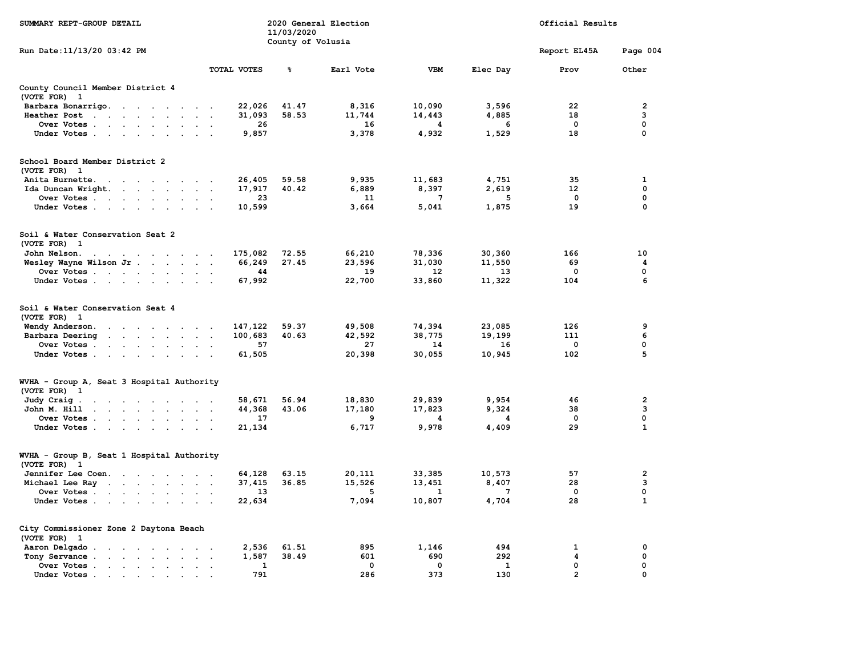| SUMMARY REPT-GROUP DETAIL                                                                                      |                           | 11/03/2020<br>County of Volusia | 2020 General Election |             | Official Results |                   |                         |
|----------------------------------------------------------------------------------------------------------------|---------------------------|---------------------------------|-----------------------|-------------|------------------|-------------------|-------------------------|
| Run Date: 11/13/20 03:42 PM                                                                                    |                           |                                 |                       |             |                  | Report EL45A      | Page 004                |
|                                                                                                                | <b>TOTAL VOTES</b>        | ቈ                               | Earl Vote             | <b>VBM</b>  | Elec Day         | Prov              | Other                   |
| County Council Member District 4<br>(VOTE FOR) 1                                                               |                           |                                 |                       |             |                  |                   |                         |
| Barbara Bonarrigo.<br>the contract of the contract of                                                          | 22,026                    | 41.47                           | 8,316                 | 10,090      | 3,596            | 22                | $\overline{\mathbf{2}}$ |
| Heather Post                                                                                                   | 31,093                    | 58.53                           | 11,744                | 14,443      | 4,885            | 18                | 3                       |
| Over Votes<br>$\ddot{\phantom{0}}$                                                                             | 26                        |                                 | 16                    | 4           | 6                | 0                 | 0                       |
| Under Votes                                                                                                    | 9,857                     |                                 | 3,378                 | 4,932       | 1,529            | 18                | $\mathbf 0$             |
| School Board Member District 2                                                                                 |                           |                                 |                       |             |                  |                   |                         |
| (VOTE FOR) 1                                                                                                   |                           |                                 |                       |             |                  |                   |                         |
| Anita Burnette.<br>$\sim 10^{-1}$ and $\sim 10^{-1}$<br>and the state of the state of the state                | 26,405                    | 59.58                           | 9,935                 | 11,683      | 4,751            | 35                | 1                       |
| Ida Duncan Wright.                                                                                             | 17,917                    | 40.42                           | 6,889                 | 8,397       | 2,619            | $12 \overline{ }$ | $\mathbf 0$             |
| Over Votes                                                                                                     | 23                        |                                 | 11                    | 7           | 5                | 0                 | 0                       |
| Under Votes                                                                                                    | 10,599                    |                                 | 3,664                 | 5,041       | 1,875            | 19                | 0                       |
| Soil & Water Conservation Seat 2<br>(VOTE FOR) 1                                                               |                           |                                 |                       |             |                  |                   |                         |
| John Nelson.<br>and the company of the company of the                                                          | 175,082                   | 72.55                           | 66,210                | 78,336      | 30,360           | 166               | 10                      |
| Wesley Wayne Wilson Jr<br>$\sim$                                                                               | 66,249                    | 27.45                           | 23,596                | 31,030      | 11,550           | 69                | 4                       |
| Over Votes                                                                                                     | 44                        |                                 | 19                    | 12          | 13               | 0                 | 0                       |
| Under Votes                                                                                                    | 67,992                    |                                 | 22,700                | 33,860      | 11,322           | 104               | 6                       |
| Soil & Water Conservation Seat 4<br>(VOTE FOR) 1                                                               |                           |                                 |                       |             |                  |                   |                         |
| Wendy Anderson.<br>the contract of the contract of                                                             | 147,122                   | 59.37                           | 49,508                | 74,394      | 23,085           | 126               | 9                       |
| Barbara Deering<br>the contract of the contract of the contract of the contract of the contract of             | 100,683                   | 40.63                           | 42,592                | 38,775      | 19,199           | 111               | 6                       |
| Over Votes<br>$\sim$                                                                                           | 57                        |                                 | 27                    | 14          | 16               | $\Omega$          | $\mathbf 0$             |
| Under Votes                                                                                                    | 61,505                    |                                 | 20,398                | 30,055      | 10,945           | 102               | 5                       |
| WVHA - Group A, Seat 3 Hospital Authority<br>(VOTE FOR) 1                                                      |                           |                                 |                       |             |                  |                   |                         |
|                                                                                                                | 58,671                    | 56.94                           | 18,830                | 29,839      | 9,954            | 46                | $\overline{2}$          |
| Judy Craig.<br>the contract of the contract of the con-<br>the contract of the contract of the<br>John M. Hill | 44,368                    | 43.06                           | 17,180                | 17,823      | 9,324            | 38                | 3                       |
| Over Votes                                                                                                     | $\blacksquare$ .<br>17    |                                 | 9                     | 4           | 4                | $\mathbf 0$       | $\Omega$                |
| Under Votes<br>$\sim$                                                                                          | 21,134                    |                                 | 6,717                 | 9,978       | 4,409            | 29                | $\mathbf{1}$            |
| WVHA - Group B, Seat 1 Hospital Authority                                                                      |                           |                                 |                       |             |                  |                   |                         |
| (VOTE FOR) 1                                                                                                   |                           |                                 |                       |             |                  |                   |                         |
| Jennifer Lee Coen.                                                                                             | 64,128                    | 63.15                           | 20,111                | 33,385      | 10,573           | 57                | $\overline{\mathbf{2}}$ |
| Michael Lee Ray                                                                                                | 37,415                    | 36.85                           | 15,526                | 13,451      | 8,407            | 28                | 3                       |
| Over Votes<br>$\sim$                                                                                           | 13                        |                                 | 5                     | 1           | 7                | 0                 | 0                       |
| Under Votes                                                                                                    | 22,634                    |                                 | 7,094                 | 10,807      | 4,704            | 28                | $\mathbf{1}$            |
| City Commissioner Zone 2 Daytona Beach<br>(VOTE FOR) 1                                                         |                           |                                 |                       |             |                  |                   |                         |
| Aaron Delgado                                                                                                  | 2,536                     | 61.51                           | 895                   | 1,146       | 494              | 1                 | 0                       |
| Tony Servance<br>and a strong control of the state of<br>$\sim$                                                | 1,587                     | 38.49                           | 601                   | 690         | 292              | 4                 | $\mathbf 0$             |
| Over Votes<br>$\sim$                                                                                           | 1<br>$\ddot{\phantom{a}}$ |                                 | $\mathbf 0$           | $\mathbf 0$ | 1                | 0                 | 0                       |
| Under Votes.<br>$\bullet$ . In the case of $\bullet$<br>$\sim 100$ km s $^{-1}$                                | 791                       |                                 | 286                   | 373         | 130              | $\overline{2}$    | 0                       |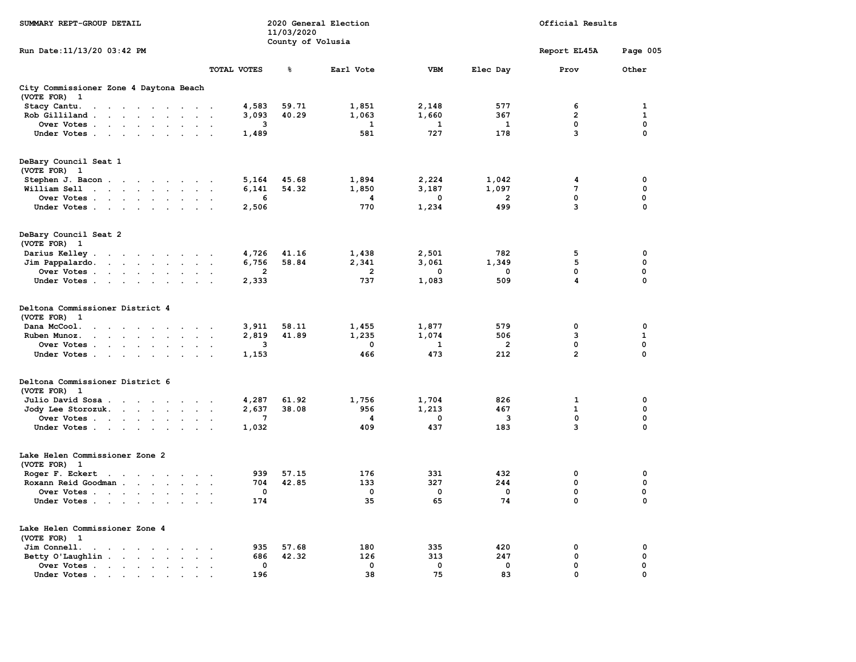| SUMMARY REPT-GROUP DETAIL                                                                                                          |                        | 11/03/2020        | 2020 General Election | Official Results |                |                |              |  |
|------------------------------------------------------------------------------------------------------------------------------------|------------------------|-------------------|-----------------------|------------------|----------------|----------------|--------------|--|
| Run Date: 11/13/20 03:42 PM                                                                                                        |                        | County of Volusia |                       |                  |                | Report EL45A   | Page 005     |  |
|                                                                                                                                    | TOTAL VOTES            | $\,$ $\,$         | Earl Vote             | <b>VBM</b>       | Elec Day       | Prov           | Other        |  |
| City Commissioner Zone 4 Daytona Beach<br>(VOTE FOR) 1                                                                             |                        |                   |                       |                  |                |                |              |  |
| Stacy Cantu.<br>the contract of the contract of the                                                                                | 4,583                  | 59.71             | 1,851                 | 2,148            | 577            | 6              | 1            |  |
| $Rob$ Gilliland                                                                                                                    | 3,093                  | 40.29             | 1,063                 | 1,660            | 367            | $\overline{2}$ | $\mathbf{1}$ |  |
| Over Votes                                                                                                                         | з                      |                   | 1                     | 1                | 1              | 0              | $\mathbf 0$  |  |
| Under Votes                                                                                                                        | 1,489                  |                   | 581                   | 727              | 178            | 3              | $\mathbf 0$  |  |
| DeBary Council Seat 1<br>(VOTE FOR) 1                                                                                              |                        |                   |                       |                  |                |                |              |  |
| Stephen J. Bacon                                                                                                                   | 5,164                  | 45.68             | 1,894                 | 2,224            | 1,042          | 4              | 0            |  |
| William Sell<br>the contract of the contract of the                                                                                | 6,141                  | 54.32             | 1,850                 | 3,187            | 1,097          | 7              | 0            |  |
| Over Votes                                                                                                                         | 6                      |                   | 4                     | 0                | 2              | 0              | 0            |  |
| Under Votes                                                                                                                        | 2,506                  |                   | 770                   | 1,234            | 499            | 3              | $\mathbf 0$  |  |
| DeBary Council Seat 2<br>(VOTE FOR) 1                                                                                              |                        |                   |                       |                  |                |                |              |  |
| Darius Kelley.<br>the contract of the contract of the                                                                              | 4,726                  | 41.16             | 1,438                 | 2,501            | 782            | 5              | 0            |  |
| Jim Pappalardo.<br>the contract of the contract of the contract of the contract of the contract of the contract of the contract of | 6,756                  | 58.84             | 2,341                 | 3,061            | 1,349          | 5              | 0            |  |
| Over Votes                                                                                                                         | 2                      |                   | $\overline{2}$        | 0                | 0              | 0              | 0            |  |
| Under Votes                                                                                                                        | 2,333                  |                   | 737                   | 1,083            | 509            | 4              | 0            |  |
| Deltona Commissioner District 4<br>(VOTE FOR) 1                                                                                    |                        |                   |                       |                  |                |                |              |  |
| Dana McCool.<br>the contract of the contract of the<br>$\sim$ $\sim$                                                               | 3,911                  | 58.11             | 1,455                 | 1,877            | 579            | $\mathbf 0$    | $\mathbf 0$  |  |
| Ruben Munoz.<br>the contract of the contract of the<br>$\ddot{\phantom{0}}$                                                        | 2,819<br>$\sim$ $\sim$ | 41.89             | 1,235                 | 1,074            | 506            | 3              | $\mathbf{1}$ |  |
| Over Votes                                                                                                                         | 3                      |                   | $\mathbf 0$           | $\mathbf{1}$     | $\overline{2}$ | 0              | $\mathbf 0$  |  |
| Under Votes                                                                                                                        | 1,153                  |                   | 466                   | 473              | 212            | $\overline{2}$ | 0            |  |
| Deltona Commissioner District 6<br>(VOTE FOR) 1                                                                                    |                        |                   |                       |                  |                |                |              |  |
| Julio David Sosa                                                                                                                   | 4,287                  | 61.92             | 1,756                 | 1,704            | 826            | $\mathbf{1}$   | $\mathbf 0$  |  |
| Jody Lee Storozuk.                                                                                                                 | 2,637                  | 38.08             | 956                   | 1,213            | 467            | $\mathbf{1}$   | 0            |  |
| Over Votes                                                                                                                         | $7\phantom{.0}$        |                   | 4                     | $\mathbf 0$      | 3              | $\mathbf 0$    | $\mathbf 0$  |  |
| Under Votes                                                                                                                        | 1,032                  |                   | 409                   | 437              | 183            | 3              | $\mathbf 0$  |  |
| Lake Helen Commissioner Zone 2<br>(VOTE FOR) 1                                                                                     |                        |                   |                       |                  |                |                |              |  |
| Roger F. Eckert                                                                                                                    | 939                    | 57.15             | 176                   | 331              | 432            | $\mathbf 0$    | 0            |  |
| Roxann Reid Goodman                                                                                                                | 704                    | 42.85             | 133                   | 327              | 244            | 0              | 0            |  |
| Over Votes                                                                                                                         | $\mathbf 0$            |                   | $\mathbf 0$           | $\mathbf 0$      | $\mathbf 0$    | 0              | 0            |  |
| Under Votes                                                                                                                        | 174                    |                   | 35                    | 65               | 74             | $\mathbf 0$    | $\Omega$     |  |
| Lake Helen Commissioner Zone 4<br>(VOTE FOR) 1                                                                                     |                        |                   |                       |                  |                |                |              |  |
| Jim Connell.<br>the contract of the contract of the contract of the contract of the contract of the contract of the contract of    | 935                    | 57.68             | 180                   | 335              | 420            | $\mathbf 0$    | $\mathbf 0$  |  |
| Betty O'Laughlin                                                                                                                   | 686                    | 42.32             | 126                   | 313              | 247            | 0              | 0            |  |
| Over Votes                                                                                                                         | $\mathbf 0$            |                   | $\mathbf 0$           | 0                | $\mathbf 0$    | 0              | $\mathbf 0$  |  |
| Under Votes.<br><b>Service Control</b><br>$\sim$<br>$\sim$                                                                         | 196                    |                   | 38                    | 75               | 83             | $\mathbf 0$    | $\Omega$     |  |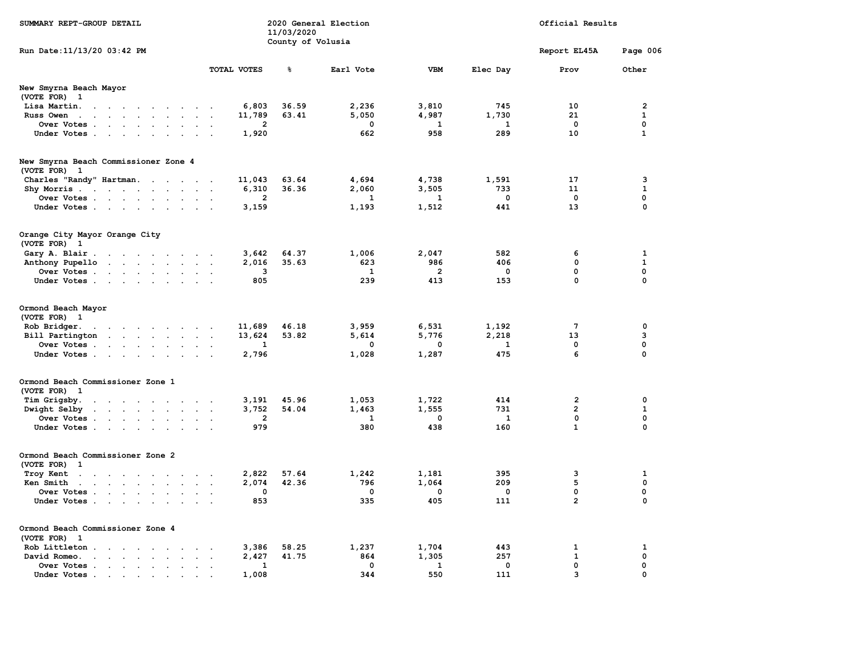| SUMMARY REPT-GROUP DETAIL                                                                                                                                                                                     |                                            | 11/03/2020<br>County of Volusia | 2020 General Election |                | Official Results |                 |                |
|---------------------------------------------------------------------------------------------------------------------------------------------------------------------------------------------------------------|--------------------------------------------|---------------------------------|-----------------------|----------------|------------------|-----------------|----------------|
| Run Date: 11/13/20 03:42 PM                                                                                                                                                                                   |                                            |                                 |                       |                |                  | Report EL45A    | Page 006       |
|                                                                                                                                                                                                               | <b>TOTAL VOTES</b>                         | ៖                               | Earl Vote             | <b>VBM</b>     | Elec Day         | Prov            | Other          |
| New Smyrna Beach Mayor<br>(VOTE FOR) 1                                                                                                                                                                        |                                            |                                 |                       |                |                  |                 |                |
| Lisa Martin.<br>$\sim$ $\sim$ $\sim$ $\sim$<br>$\sim$<br>$\sim$<br>$\sim$<br>$\ddot{\phantom{a}}$<br>$\overline{\phantom{a}}$                                                                                 | 6,803                                      | 36.59                           | 2,236                 | 3,810          | 745              | 10              | $\overline{2}$ |
| Russ Owen<br>the contract of the contract of the contract of the contract of the contract of the contract of the contract of<br>$\sim$                                                                        | 11,789<br>$\ddot{\phantom{a}}$             | 63.41                           | 5,050                 | 4,987          | 1,730            | 21              | $\mathbf{1}$   |
| Over Votes<br>$\sim$<br>$\sim$<br>$\bullet$<br>$\ddot{\phantom{a}}$                                                                                                                                           | $\overline{2}$                             |                                 | 0                     | $\mathbf{1}$   | $\mathbf{1}$     | 0               | $\mathbf 0$    |
| Under Votes<br>$\sim$                                                                                                                                                                                         | 1,920                                      |                                 | 662                   | 958            | 289              | 10              | $\mathbf{1}$   |
| New Smyrna Beach Commissioner Zone 4                                                                                                                                                                          |                                            |                                 |                       |                |                  |                 |                |
| (VOTE FOR) 1                                                                                                                                                                                                  |                                            |                                 |                       |                |                  |                 |                |
| Charles "Randy" Hartman.<br>$\mathbf{r}$ , $\mathbf{r}$ , $\mathbf{r}$ , $\mathbf{r}$                                                                                                                         | 11,043                                     | 63.64                           | 4,694                 | 4,738          | 1,591            | 17              | з              |
| Shy Morris                                                                                                                                                                                                    | 6,310                                      | 36.36                           | 2,060                 | 3,505          | 733              | 11              | $\mathbf{1}$   |
| Over Votes                                                                                                                                                                                                    | $\overline{2}$<br>$\overline{\phantom{a}}$ |                                 | 1                     | $\mathbf{1}$   | $\mathbf 0$      | 0               | 0              |
| Under Votes<br>$\sim$                                                                                                                                                                                         | 3,159<br>$\ddot{\phantom{a}}$              |                                 | 1,193                 | 1,512          | 441              | 13              | 0              |
| Orange City Mayor Orange City<br>(VOTE FOR) 1                                                                                                                                                                 |                                            |                                 |                       |                |                  |                 |                |
| Gary A. Blair.<br>the contract of the contract of the                                                                                                                                                         | 3,642                                      | 64.37                           | 1,006                 | 2,047          | 582              | 6               | 1              |
| the contract of the contract of<br>Anthony Pupello<br>$\sim$                                                                                                                                                  | 2,016                                      | 35.63                           | 623                   | 986            | 406              | 0               | 1              |
| Over Votes .<br>and the contract of the state of<br>$\ddot{\phantom{a}}$                                                                                                                                      | 3                                          |                                 | $\mathbf{1}$          | $\overline{2}$ | 0                | 0               | 0              |
| Under Votes<br>$\sim$                                                                                                                                                                                         | 805                                        |                                 | 239                   | 413            | 153              | 0               | $\mathbf 0$    |
| Ormond Beach Mayor<br>(VOTE FOR) 1                                                                                                                                                                            |                                            |                                 |                       |                |                  |                 |                |
| Rob Bridger.<br>and a state of the state of the<br>$\ddot{\phantom{a}}$                                                                                                                                       | 11,689                                     | 46.18                           | 3,959                 | 6,531          | 1,192            | $7\phantom{.0}$ | $\mathbf 0$    |
| Bill Partington<br>the contract of the contract of the<br>$\ddot{\phantom{a}}$                                                                                                                                | 13,624<br>$\cdot$                          | 53.82                           | 5,614                 | 5,776          | 2,218            | 13              | 3              |
| Over Votes<br>$\sim$                                                                                                                                                                                          | 1                                          |                                 | 0                     | 0              | $\mathbf{1}$     | 0               | 0              |
| Under Votes<br>$\sim$ $\sim$                                                                                                                                                                                  | 2,796                                      |                                 | 1,028                 | 1,287          | 475              | 6               | 0              |
| Ormond Beach Commissioner Zone 1<br>(VOTE FOR) 1                                                                                                                                                              |                                            |                                 |                       |                |                  |                 |                |
| Tim Grigsby.<br>$\mathbf{z} = \mathbf{z} + \mathbf{z}$ . The $\mathbf{z}$<br>$\sim 100$ km s $^{-1}$<br>$\bullet$<br>$\sim$ $\sim$ $\sim$                                                                     | 3,191                                      | 45.96                           | 1,053                 | 1,722          | 414              | $\overline{2}$  | 0              |
| Dwight Selby<br>$\mathbf{u}^{\prime}=\mathbf{u}^{\prime}$ , $\mathbf{u}^{\prime}=\mathbf{u}^{\prime}$ , $\mathbf{u}^{\prime}=\mathbf{u}^{\prime}$ ,<br>$\ddot{\phantom{1}}$<br>$\Box$<br>$\ddot{\phantom{0}}$ | 3,752<br>$\cdot$                           | 54.04                           | 1,463                 | 1,555          | 731              | $\mathbf{2}$    | 1              |
| Over Votes .<br>$\mathbf{r} = \mathbf{r} \cdot \mathbf{r}$ , where $\mathbf{r} = \mathbf{r} \cdot \mathbf{r}$<br>$\sim$<br>$\bullet$                                                                          | $\overline{2}$                             |                                 | $\mathbf{1}$          | $\mathbf 0$    | $\mathbf{1}$     | 0               | 0              |
| Under Votes.<br>the contract of the contract of the<br>$\sim$<br>$\sim$                                                                                                                                       | 979                                        |                                 | 380                   | 438            | 160              | $\mathbf{1}$    | 0              |
| Ormond Beach Commissioner Zone 2                                                                                                                                                                              |                                            |                                 |                       |                |                  |                 |                |
| (VOTE FOR) 1                                                                                                                                                                                                  |                                            |                                 |                       |                |                  |                 |                |
| Troy Kent<br>$\mathcal{L}^{\text{max}}$ and $\mathcal{L}^{\text{max}}$<br><b>Contract Contract</b><br>$\sim$<br>$\ddot{\phantom{1}}$<br>$\sim$                                                                | 2,822                                      | 57.64                           | 1,242                 | 1,181          | 395              | з               | 1              |
| Ken Smith<br>the contract of the contract of the<br>$\ddot{\phantom{a}}$<br>$\sim$ $\sim$                                                                                                                     | 2,074                                      | 42.36                           | 796                   | 1,064          | 209              | 5               | 0              |
| Over Votes .<br>the company of the company of the<br>$\ddot{\phantom{0}}$                                                                                                                                     | 0                                          |                                 | 0                     | 0              | 0                | 0               | 0              |
| Under Votes.<br>$\mathbf{r} = \mathbf{r} \cdot \mathbf{r}$ , where $\mathbf{r} = \mathbf{r} \cdot \mathbf{r}$<br><b>Service Control</b>                                                                       | 853                                        |                                 | 335                   | 405            | 111              | $\overline{2}$  | $\Omega$       |
| Ormond Beach Commissioner Zone 4<br>(VOTE FOR) 1                                                                                                                                                              |                                            |                                 |                       |                |                  |                 |                |
| Rob Littleton.<br>the contract of the contract of the                                                                                                                                                         | 3,386                                      | 58.25                           | 1,237                 | 1,704          | 443              | 1               | 1              |
| David Romeo.<br>$\sim$<br>$\sim$                                                                                                                                                                              | 2,427                                      | 41.75                           | 864                   | 1,305          | 257              | 1               | $\mathbf 0$    |
| Over Votes .<br>the contract of the contract of<br>$\ddot{\phantom{0}}$<br>$\ddot{\phantom{a}}$<br>$\ddot{\phantom{a}}$                                                                                       | 1<br>$\ddot{\phantom{1}}$                  |                                 | 0                     | 1              | $\mathbf 0$      | 0               | 0              |
| Under Votes .<br>$\bullet$ . In the case of $\bullet$<br>$\sim$                                                                                                                                               | 1,008                                      |                                 | 344                   | 550            | 111              | 3               | 0              |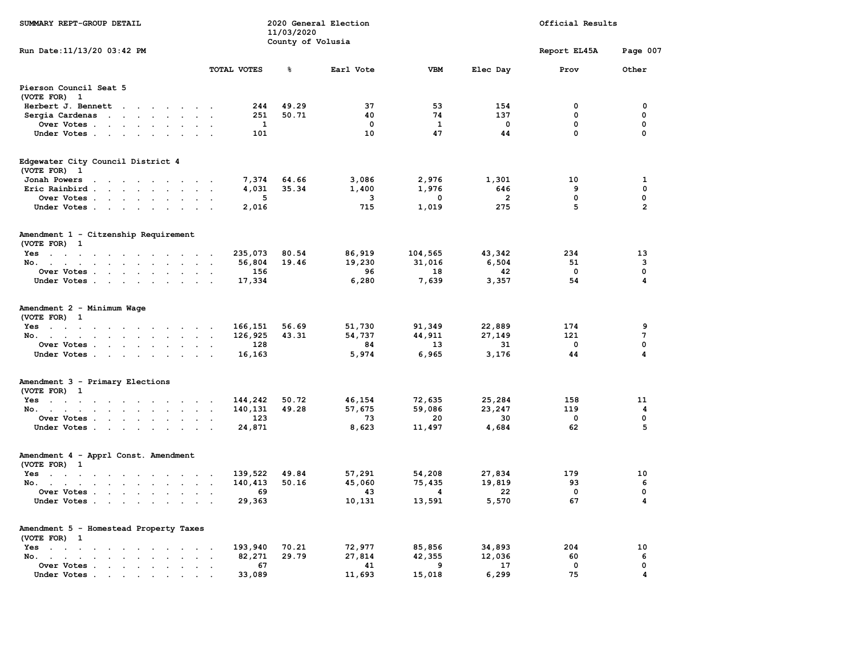| SUMMARY REPT-GROUP DETAIL                                                                                                       |                                     |                   | 2020 General Election |            | Official Results |              |                 |  |  |  |
|---------------------------------------------------------------------------------------------------------------------------------|-------------------------------------|-------------------|-----------------------|------------|------------------|--------------|-----------------|--|--|--|
|                                                                                                                                 |                                     | 11/03/2020        |                       |            |                  |              |                 |  |  |  |
| Run Date: 11/13/20 03:42 PM                                                                                                     |                                     | County of Volusia |                       |            |                  | Report EL45A | Page 007        |  |  |  |
|                                                                                                                                 |                                     |                   |                       |            |                  |              |                 |  |  |  |
|                                                                                                                                 | TOTAL VOTES                         | ៖                 | Earl Vote             | <b>VBM</b> | Elec Day         | Prov         | Other           |  |  |  |
| Pierson Council Seat 5<br>(VOTE FOR) 1                                                                                          |                                     |                   |                       |            |                  |              |                 |  |  |  |
| Herbert J. Bennett                                                                                                              | 244                                 | 49.29             | 37                    | 53         | 154              | 0            | 0               |  |  |  |
| Sergia Cardenas                                                                                                                 | 251                                 | 50.71             | 40                    | 74         | 137              | 0            | 0               |  |  |  |
| Over Votes                                                                                                                      | 1                                   |                   | 0                     | 1          | $\mathbf 0$      | 0            | 0               |  |  |  |
| Under Votes                                                                                                                     | 101                                 |                   | 10                    | 47         | 44               | 0            | 0               |  |  |  |
| Edgewater City Council District 4<br>(VOTE FOR) 1                                                                               |                                     |                   |                       |            |                  |              |                 |  |  |  |
| Jonah Powers<br>the contract of the contract of the contract of the contract of the contract of the contract of the contract of | 7,374                               | 64.66             | 3,086                 | 2,976      | 1,301            | 10           | 1               |  |  |  |
| Eric Rainbird                                                                                                                   | 4,031                               | 35.34             | 1,400                 | 1,976      | 646              | 9            | 0               |  |  |  |
| Over Votes                                                                                                                      | 5                                   |                   | 3                     | $\Omega$   | $\overline{2}$   | $\mathbf 0$  | 0               |  |  |  |
| Under Votes                                                                                                                     | 2,016                               |                   | 715                   | 1,019      | 275              | 5            | $\overline{2}$  |  |  |  |
| Amendment 1 - Citzenship Requirement<br>(VOTE FOR) 1                                                                            |                                     |                   |                       |            |                  |              |                 |  |  |  |
| $Yes \t . \t . \t . \t . \t . \t . \t . \t . \t . \t .$                                                                         | 235,073                             | 80.54             | 86,919                | 104,565    | 43,342           | 234          | 13              |  |  |  |
| No.                                                                                                                             | 56,804<br>$\sim$                    | 19.46             | 19,230                | 31,016     | 6,504            | 51           | 3               |  |  |  |
| Over Votes<br>$\sim$<br>$\sim$                                                                                                  | 156                                 |                   | 96                    | 18         | 42               | $\mathbf 0$  | $\mathbf 0$     |  |  |  |
| Under Votes                                                                                                                     | 17,334                              |                   | 6,280                 | 7,639      | 3,357            | 54           | 4               |  |  |  |
| Amendment 2 - Minimum Wage<br>(VOTE FOR) 1                                                                                      |                                     |                   |                       |            |                  |              |                 |  |  |  |
| $Yes$                                                                                                                           | 166,151<br>$\overline{\phantom{a}}$ | 56.69             | 51,730                | 91,349     | 22,889           | 174          | 9               |  |  |  |
| No.<br>$\mathbf{L}$ and $\mathbf{L}$                                                                                            | 126,925                             | 43.31             | 54,737                | 44,911     | 27,149           | 121          | $7\phantom{.0}$ |  |  |  |
| Over Votes                                                                                                                      | 128                                 |                   | 84                    | 13         | 31               | 0            | 0               |  |  |  |
| Under Votes                                                                                                                     | 16,163                              |                   | 5,974                 | 6,965      | 3,176            | 44           | 4               |  |  |  |
| Amendment 3 - Primary Elections<br>(VOTE FOR) 1                                                                                 |                                     |                   |                       |            |                  |              |                 |  |  |  |
| Yes                                                                                                                             | 144,242                             | 50.72             | 46,154                | 72,635     | 25,284           | 158          | 11              |  |  |  |
| No.                                                                                                                             | 140,131                             | 49.28             | 57,675                | 59,086     | 23,247           | 119          | 4               |  |  |  |
| Over Votes<br>$\cdot$                                                                                                           | 123<br>$\overline{\phantom{a}}$     |                   | 73                    | 20         | 30               | 0            | 0               |  |  |  |
| Under Votes                                                                                                                     | 24,871                              |                   | 8,623                 | 11,497     | 4,684            | 62           | 5               |  |  |  |
| Amendment 4 - Apprl Const. Amendment<br>(VOTE FOR) 1                                                                            |                                     |                   |                       |            |                  |              |                 |  |  |  |
| Yes                                                                                                                             | 139,522                             | 49.84             | 57,291                | 54,208     | 27,834           | 179          | 10              |  |  |  |
| No.                                                                                                                             | 140,413                             | 50.16             | 45,060                | 75,435     | 19,819           | 93           | 6               |  |  |  |
| Over Votes                                                                                                                      | 69                                  |                   | 43                    | 4          | 22               | 0            | $\mathbf 0$     |  |  |  |
| Under Votes                                                                                                                     | 29,363                              |                   | 10,131                | 13,591     | 5,570            | 67           | 4               |  |  |  |
| Amendment 5 - Homestead Property Taxes<br>(VOTE FOR) 1                                                                          |                                     |                   |                       |            |                  |              |                 |  |  |  |
| Yes                                                                                                                             | 193,940                             | 70.21             | 72,977                | 85,856     | 34,893           | 204          | 10              |  |  |  |
| No. .<br>the company of the company of the company<br>$\sim$ $\sim$                                                             | 82,271                              | 29.79             | 27,814                | 42,355     | 12,036           | 60           | 6               |  |  |  |
| Over Votes<br>$\sim$ $\sim$ $\sim$                                                                                              | 67                                  |                   | 41                    | -9         | 17               | $\mathbf 0$  | 0               |  |  |  |
| Under Votes.<br>$\mathbf{a} = \mathbf{a} + \mathbf{a}$ , $\mathbf{a} = \mathbf{a}$<br>$\bullet$                                 | 33,089                              |                   | 11,693                | 15,018     | 6,299            | 75           | 4               |  |  |  |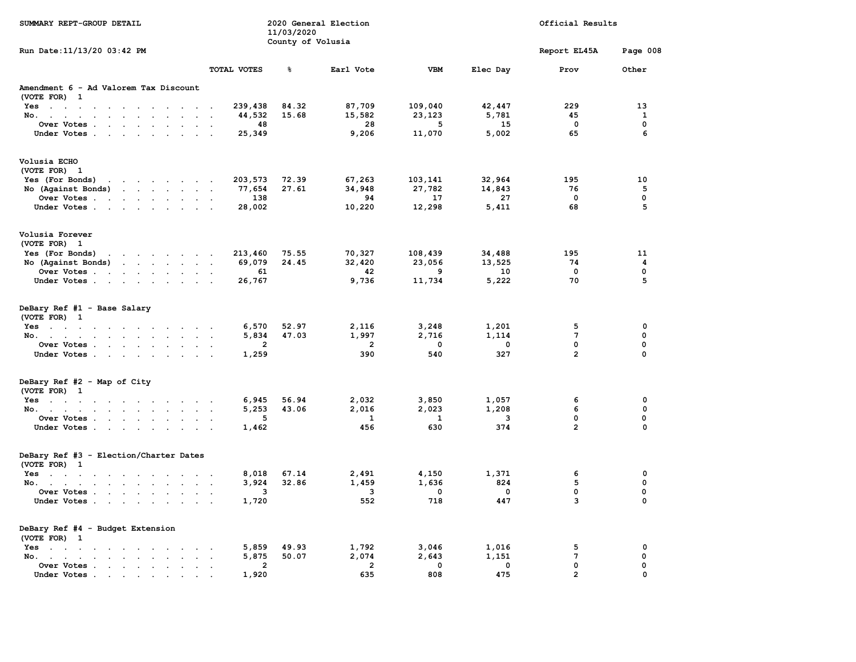| SUMMARY REPT-GROUP DETAIL                                                                                                                                   |                                | 11/03/2020<br>County of Volusia | 2020 General Election |             | Official Results |                 |             |
|-------------------------------------------------------------------------------------------------------------------------------------------------------------|--------------------------------|---------------------------------|-----------------------|-------------|------------------|-----------------|-------------|
| Run Date: 11/13/20 03:42 PM                                                                                                                                 |                                |                                 |                       |             |                  | Report EL45A    | Page 008    |
|                                                                                                                                                             | <b>TOTAL VOTES</b>             | ቈ                               | Earl Vote             | <b>VBM</b>  | Elec Day         | Prov            | Other       |
| Amendment 6 - Ad Valorem Tax Discount<br>(VOTE FOR) 1                                                                                                       |                                |                                 |                       |             |                  |                 |             |
| $Yes \t . \t . \t .$<br><b>Contract Contract</b><br>the contract of the contract                                                                            | 239,438                        | 84.32                           | 87,709                | 109,040     | 42,447           | 229             | 13          |
| the contract of the contract of the<br>$No.$ $\ldots$ $\ldots$                                                                                              | 44,532<br>$\ddot{\phantom{a}}$ | 15.68                           | 15,582                | 23,123      | 5,781            | 45              | 1           |
| Over Votes .<br>$\mathbf{r} = \mathbf{r} + \mathbf{r} + \mathbf{r} + \mathbf{r}$<br>$\sim$<br>$\ddot{\phantom{0}}$<br>$\ddot{\phantom{a}}$                  | 48                             |                                 | 28                    | 5           | 15               | $\mathbf 0$     | 0           |
| Under Votes                                                                                                                                                 | 25,349<br>$\sim$               |                                 | 9,206                 | 11,070      | 5,002            | 65              | 6           |
| Volusia ECHO                                                                                                                                                |                                |                                 |                       |             |                  |                 |             |
| (VOTE FOR) 1                                                                                                                                                |                                |                                 |                       |             |                  |                 |             |
| Yes (For Bonds)<br>the contract of the contract of the                                                                                                      | 203,573                        | 72.39                           | 67,263                | 103,141     | 32,964           | 195             | 10          |
| No (Against Bonds)<br>the contract of the contract of the<br>$\sim$                                                                                         | 77,654                         | 27.61                           | 34,948                | 27,782      | 14,843           | 76              | 5           |
| Over Votes .<br>the contract of the contract of the contract of the contract of the contract of                                                             | 138<br>$\ddot{\phantom{a}}$    |                                 | 94                    | 17          | 27               | $\mathbf 0$     | 0           |
| Under Votes.<br>the contract of the contract of the contract of the contract of the contract of the contract of the contract of<br>$\sim$                   | 28,002<br>$\ddot{\phantom{a}}$ |                                 | 10,220                | 12,298      | 5,411            | 68              | 5           |
| Volusia Forever<br>(VOTE FOR) 1                                                                                                                             |                                |                                 |                       |             |                  |                 |             |
| Yes (For Bonds)<br>the contract of the contract of the contract of the contract of the contract of the contract of the contract of                          | 213,460                        | 75.55                           | 70,327                | 108,439     | 34,488           | 195             | 11          |
| <b><i>Contract Contract Artists</i></b><br>No (Against Bonds)<br>$\sim$                                                                                     | 69,079                         | 24.45                           | 32,420                | 23,056      | 13,525           | 74              | 4           |
| Over Votes .<br>the contract of the contract of<br>$\sim$<br>$\overline{\phantom{a}}$                                                                       | 61<br>$\ddot{\phantom{a}}$     |                                 | 42                    | 9           | 10               | 0               | 0           |
| Under Votes                                                                                                                                                 | 26,767                         |                                 | 9,736                 | 11,734      | 5,222            | 70              | 5           |
| DeBary Ref #1 - Base Salary<br>(VOTE FOR) 1                                                                                                                 |                                |                                 |                       |             |                  |                 |             |
| $Yes \quad . \quad . \quad . \quad . \quad . \quad .$<br>$\sim$<br>$\sim$                                                                                   | 6,570                          | 52.97                           | 2,116                 | 3,248       | 1,201            | 5               | $\mathbf 0$ |
| No.<br>$\ddot{\phantom{a}}$<br>$\sim$<br>$\sim$                                                                                                             | 5,834<br>$\blacksquare$        | 47.03                           | 1,997                 | 2,716       | 1,114            | $7\phantom{.0}$ | $\mathbf 0$ |
| Over Votes                                                                                                                                                  | $\overline{2}$                 |                                 | $\overline{2}$        | $\mathbf 0$ | 0                | 0               | 0           |
| Under Votes                                                                                                                                                 | 1,259                          |                                 | 390                   | 540         | 327              | $\overline{2}$  | 0           |
| DeBary Ref #2 - Map of City<br>(VOTE FOR) 1                                                                                                                 |                                |                                 |                       |             |                  |                 |             |
|                                                                                                                                                             | 6,945                          | 56.94                           | 2,032                 | 3,850       | 1,057            | 6               | $\mathbf 0$ |
| Yes<br>$\ddot{\phantom{1}}$<br>No.<br>$\sim$<br>$\ddot{\phantom{0}}$<br>$\ddot{\phantom{a}}$                                                                | 5,253<br>$\ddot{\phantom{a}}$  | 43.06                           | 2,016                 | 2,023       | 1,208            | 6               | $\mathbf 0$ |
| Over Votes .<br>and the control of the con-<br>$\ddot{\phantom{a}}$<br>$\cdot$<br>$\ddot{\phantom{a}}$                                                      | 5                              |                                 | $\mathbf{1}$          | 1           | 3                | $\mathbf 0$     | $\mathbf 0$ |
| Under Votes.<br>the contract of the contract of the<br>$\ddot{\phantom{0}}$<br>$\sim$                                                                       | 1,462                          |                                 | 456                   | 630         | 374              | $\overline{2}$  | $\Omega$    |
| DeBary Ref #3 - Election/Charter Dates<br>(VOTE FOR) 1                                                                                                      |                                |                                 |                       |             |                  |                 |             |
| $Yes \t . \t . \t .$<br>the contract of the contract of<br>$\sim$<br>$\overline{\phantom{a}}$                                                               | 8,018                          | 67.14                           | 2,491                 | 4,150       | 1,371            | 6               | $\mathbf 0$ |
| No.<br>$\mathbf{r} = \mathbf{r} \cdot \mathbf{r}$ , where $\mathbf{r} = \mathbf{r} \cdot \mathbf{r}$                                                        | 3,924                          | 32.86                           | 1,459                 | 1,636       | 824              | 5               | $\mathbf 0$ |
| Over Votes<br>$\ddot{\phantom{0}}$                                                                                                                          | 3                              |                                 | 3                     | $\mathbf 0$ | $\mathbf{0}$     | $\mathbf 0$     | $\mathbf 0$ |
| Under Votes                                                                                                                                                 | 1,720                          |                                 | 552                   | 718         | 447              | 3               | 0           |
| DeBary Ref #4 - Budget Extension<br>(VOTE FOR) 1                                                                                                            |                                |                                 |                       |             |                  |                 |             |
| Yes<br>the contract of the contract of the contract of the contract of the contract of the contract of the contract of                                      | 5,859                          | 49.93                           | 1,792                 | 3,046       | 1,016            | 5               | $\mathbf 0$ |
| No.,<br>$\sim$ $\sim$ $\sim$ $\sim$ $\sim$<br>$\sim$<br>$\sim$                                                                                              | 5,875                          | 50.07                           | 2,074                 | 2,643       | 1,151            | 7               | 0           |
| Over Votes<br>$\sim 100$<br>$\ddot{\phantom{1}}$ .                                                                                                          | $\overline{2}$                 |                                 | $\overline{2}$        | $\mathbf 0$ | $\mathbf 0$      | $\mathbf 0$     | 0           |
| Under Votes.<br>$\mathcal{A}^{\mathcal{A}}$ , and $\mathcal{A}^{\mathcal{A}}$ , and $\mathcal{A}^{\mathcal{A}}$<br>$\sim$<br>$\sim$<br>$\ddot{\phantom{a}}$ | 1,920                          |                                 | 635                   | 808         | 475              | $\overline{2}$  | 0           |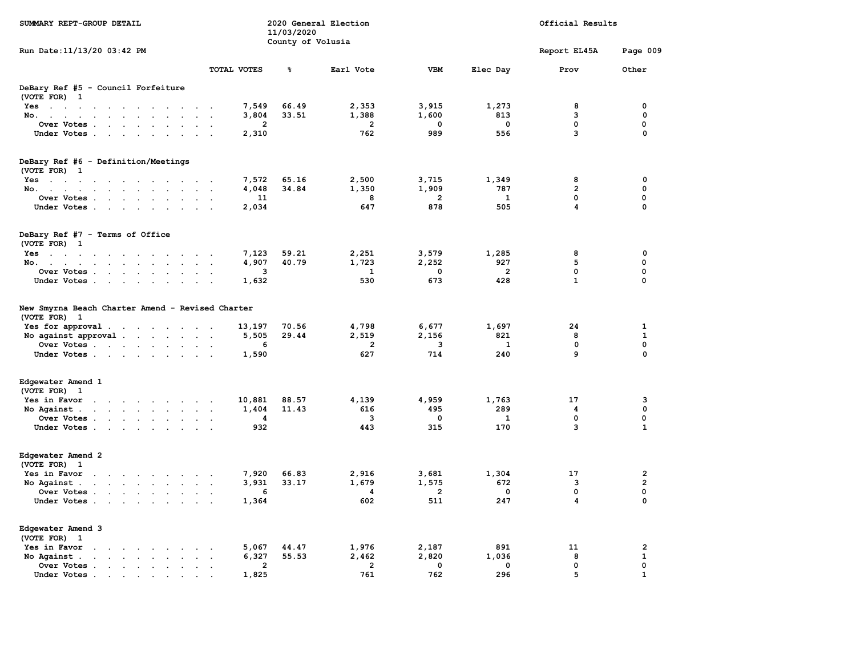| SUMMARY REPT-GROUP DETAIL                                                                                                                                                                                                                                                                                                                                                                                                                                                 |                                | 11/03/2020<br>County of Volusia | 2020 General Election |                |          | Official Results |                |  |
|---------------------------------------------------------------------------------------------------------------------------------------------------------------------------------------------------------------------------------------------------------------------------------------------------------------------------------------------------------------------------------------------------------------------------------------------------------------------------|--------------------------------|---------------------------------|-----------------------|----------------|----------|------------------|----------------|--|
| Run Date: 11/13/20 03:42 PM                                                                                                                                                                                                                                                                                                                                                                                                                                               |                                |                                 |                       |                |          | Report EL45A     | Page 009       |  |
|                                                                                                                                                                                                                                                                                                                                                                                                                                                                           | TOTAL VOTES                    | ℁                               | Earl Vote             | <b>VBM</b>     | Elec Day | Prov             | Other          |  |
| DeBary Ref #5 - Council Forfeiture<br>(VOTE FOR) 1                                                                                                                                                                                                                                                                                                                                                                                                                        |                                |                                 |                       |                |          |                  |                |  |
| $Yes \t . \t . \t .$<br>$\sim$ $\sim$<br>$\sim$<br>$\sim$ $\sim$<br>$\overline{\phantom{a}}$<br>$\overline{\phantom{a}}$                                                                                                                                                                                                                                                                                                                                                  | 7,549                          | 66.49                           | 2,353                 | 3,915          | 1,273    | 8                | 0              |  |
| No.<br>the contract of the contract of the<br>$\sim$                                                                                                                                                                                                                                                                                                                                                                                                                      | 3,804<br>$\cdot$               | 33.51                           | 1,388                 | 1,600          | 813      | 3                | $\mathbf 0$    |  |
| Over Votes .<br>$\mathbf{r} = \mathbf{r} - \mathbf{r} = \mathbf{r} - \mathbf{r}$ .<br>$\bullet$<br>$\ddot{\phantom{a}}$                                                                                                                                                                                                                                                                                                                                                   | 2                              |                                 | 2                     | 0              | $\Omega$ | 0                | 0              |  |
| Under Votes                                                                                                                                                                                                                                                                                                                                                                                                                                                               | 2,310                          |                                 | 762                   | 989            | 556      | з                | $\Omega$       |  |
| DeBary Ref #6 - Definition/Meetings                                                                                                                                                                                                                                                                                                                                                                                                                                       |                                |                                 |                       |                |          |                  |                |  |
| (VOTE FOR) 1                                                                                                                                                                                                                                                                                                                                                                                                                                                              |                                |                                 |                       |                |          |                  |                |  |
| $Yes \t . \t . \t .$<br>$\blacksquare$ .<br>the contract of the contract of the<br>$\sim$                                                                                                                                                                                                                                                                                                                                                                                 | 7,572                          | 65.16                           | 2,500                 | 3,715          | 1,349    | 8                | 0              |  |
| No.<br>$\mathbf{r} = \mathbf{r} + \mathbf{r} + \mathbf{r} + \mathbf{r} + \mathbf{r} + \mathbf{r} + \mathbf{r} + \mathbf{r} + \mathbf{r} + \mathbf{r} + \mathbf{r} + \mathbf{r} + \mathbf{r} + \mathbf{r} + \mathbf{r} + \mathbf{r} + \mathbf{r} + \mathbf{r} + \mathbf{r} + \mathbf{r} + \mathbf{r} + \mathbf{r} + \mathbf{r} + \mathbf{r} + \mathbf{r} + \mathbf{r} + \mathbf{r} + \mathbf{r} + \mathbf{r} + \mathbf{r} + \mathbf$<br>the contract of the con-<br>$\sim$ | 4,048                          | 34.84                           | 1,350                 | 1,909          | 787      | $\overline{2}$   | 0              |  |
| Over Votes                                                                                                                                                                                                                                                                                                                                                                                                                                                                | 11<br>$\sim$                   |                                 | 8                     | 2              | 1        | 0                | 0              |  |
| Under Votes.<br>the contract of the contract of the<br>$\sim$ $\sim$                                                                                                                                                                                                                                                                                                                                                                                                      | 2,034<br>$\overline{a}$        |                                 | 647                   | 878            | 505      | 4                | $\mathbf 0$    |  |
| DeBary Ref #7 - Terms of Office<br>(VOTE FOR) 1                                                                                                                                                                                                                                                                                                                                                                                                                           |                                |                                 |                       |                |          |                  |                |  |
| Yes<br>the contract of the contract of the contract of                                                                                                                                                                                                                                                                                                                                                                                                                    | 7,123                          | 59.21                           | 2,251                 | 3,579          | 1,285    | 8                | $\mathbf 0$    |  |
| No.<br>$\sim 10^{-1}$                                                                                                                                                                                                                                                                                                                                                                                                                                                     | 4,907                          | 40.79                           | 1,723                 | 2,252          | 927      | 5                | $\mathbf 0$    |  |
| Over Votes .<br>$\mathbf{r}$ and $\mathbf{r}$ and $\mathbf{r}$ and $\mathbf{r}$<br>$\sim$<br>$\sim$                                                                                                                                                                                                                                                                                                                                                                       | з                              |                                 | 1                     | 0              | 2        | 0                | 0              |  |
| Under Votes<br>$\sim$                                                                                                                                                                                                                                                                                                                                                                                                                                                     | 1,632<br>$\ddot{\phantom{a}}$  |                                 | 530                   | 673            | 428      | $\mathbf{1}$     | 0              |  |
| New Smyrna Beach Charter Amend - Revised Charter<br>(VOTE FOR) 1                                                                                                                                                                                                                                                                                                                                                                                                          |                                |                                 |                       |                |          |                  |                |  |
| Yes for approval<br>$\sim 100$                                                                                                                                                                                                                                                                                                                                                                                                                                            | 13,197<br>$\ddot{\phantom{1}}$ | 70.56                           | 4,798                 | 6,677          | 1,697    | 24               | 1              |  |
| No against approval.<br>and the contract of the state of                                                                                                                                                                                                                                                                                                                                                                                                                  | 5,505                          | 29.44                           | 2,519                 | 2,156          | 821      | 8                | $\mathbf{1}$   |  |
| Over Votes                                                                                                                                                                                                                                                                                                                                                                                                                                                                | 6                              |                                 | $\overline{2}$        | 3              | 1        | 0                | $\mathbf 0$    |  |
| Under Votes<br>$\sim$                                                                                                                                                                                                                                                                                                                                                                                                                                                     | 1,590                          |                                 | 627                   | 714            | 240      | 9                | $\Omega$       |  |
| Edgewater Amend 1<br>(VOTE FOR) 1                                                                                                                                                                                                                                                                                                                                                                                                                                         |                                |                                 |                       |                |          |                  |                |  |
| Yes in Favor<br>$\ddot{\phantom{0}}$<br>the contract of the contract of<br>$\sim$                                                                                                                                                                                                                                                                                                                                                                                         | 10,881                         | 88.57                           | 4,139                 | 4,959          | 1,763    | 17               | 3              |  |
| No Against<br>the contract of the contract of<br>$\sim$                                                                                                                                                                                                                                                                                                                                                                                                                   | 1,404<br>$\cdot$               | 11.43                           | 616                   | 495            | 289      | 4                | $\mathbf 0$    |  |
| Over Votes.<br>the contract of the con-<br>$\ddot{\phantom{a}}$<br>$\ddot{\phantom{a}}$<br>$\ddot{\phantom{a}}$                                                                                                                                                                                                                                                                                                                                                           | 4                              |                                 | 3                     | 0              | 1        | $\mathbf 0$      | $\mathbf 0$    |  |
| Under Votes<br>$\sim$                                                                                                                                                                                                                                                                                                                                                                                                                                                     | 932                            |                                 | 443                   | 315            | 170      | з                | 1              |  |
| Edgewater Amend 2<br>(VOTE FOR) 1                                                                                                                                                                                                                                                                                                                                                                                                                                         |                                |                                 |                       |                |          |                  |                |  |
| Yes in Favor<br>$\sim$<br>the contract of the contract of<br>$\overline{\phantom{a}}$                                                                                                                                                                                                                                                                                                                                                                                     | 7,920                          | 66.83                           | 2,916                 | 3,681          | 1,304    | 17               | $\overline{2}$ |  |
| No Against.<br>$\sim$                                                                                                                                                                                                                                                                                                                                                                                                                                                     | 3,931                          | 33.17                           | 1,679                 | 1,575          | 672      | з                | $\overline{a}$ |  |
| Over Votes<br>$\ddot{\phantom{0}}$                                                                                                                                                                                                                                                                                                                                                                                                                                        | 6                              |                                 | 4                     | $\overline{2}$ | $\Omega$ | 0                | 0              |  |
| Under Votes<br>$\sim$                                                                                                                                                                                                                                                                                                                                                                                                                                                     | 1,364                          |                                 | 602                   | 511            | 247      | 4                | 0              |  |
| Edgewater Amend 3<br>(VOTE FOR) 1                                                                                                                                                                                                                                                                                                                                                                                                                                         |                                |                                 |                       |                |          |                  |                |  |
| Yes in Favor<br>and the contract of the con-<br>$\sim$                                                                                                                                                                                                                                                                                                                                                                                                                    | 5,067                          | 44.47                           | 1,976                 | 2,187          | 891      | 11               | $\overline{2}$ |  |
| No Against.<br>$\sim$ $\sim$ $\sim$ $\sim$<br>$\ddot{\phantom{a}}$                                                                                                                                                                                                                                                                                                                                                                                                        | 6,327                          | 55.53                           | 2,462                 | 2,820          | 1,036    | 8                | $\mathbf{1}$   |  |
| Over Votes<br>$\cdot$<br>$\ddot{\phantom{1}}$                                                                                                                                                                                                                                                                                                                                                                                                                             | 2                              |                                 | $\mathbf{2}$          | 0              | $\Omega$ | 0                | 0              |  |
| Under Votes.<br>$\sim 10^{-1}$ km $^{-1}$<br>$\sim$ $\sim$<br>$\bullet$<br>$\ddot{\phantom{a}}$                                                                                                                                                                                                                                                                                                                                                                           | 1,825                          |                                 | 761                   | 762            | 296      | 5                | $\mathbf{1}$   |  |